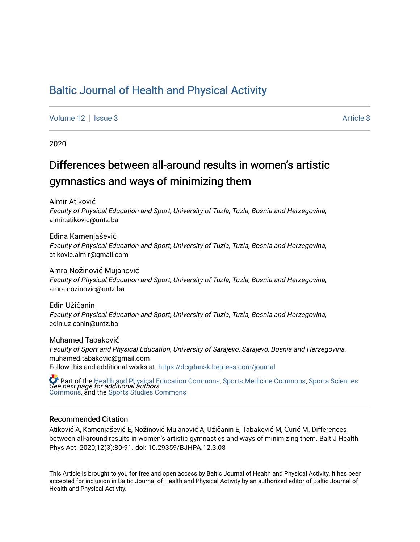# [Baltic Journal of Health and Physical Activity](https://dcgdansk.bepress.com/journal)

[Volume 12](https://dcgdansk.bepress.com/journal/vol12) | [Issue 3](https://dcgdansk.bepress.com/journal/vol12/iss3) Article 8

2020

# Differences between all-around results in women's artistic gymnastics and ways of minimizing them

Almir Atiković Faculty of Physical Education and Sport, University of Tuzla, Tuzla, Bosnia and Herzegovina, almir.atikovic@untz.ba

Edina Kamenjašević Faculty of Physical Education and Sport, University of Tuzla, Tuzla, Bosnia and Herzegovina, atikovic.almir@gmail.com

Amra Nožinović Mujanović Faculty of Physical Education and Sport, University of Tuzla, Tuzla, Bosnia and Herzegovina, amra.nozinovic@untz.ba

Edin Užičanin Faculty of Physical Education and Sport, University of Tuzla, Tuzla, Bosnia and Herzegovina, edin.uzicanin@untz.ba

Muhamed Tabaković Faculty of Sport and Physical Education, University of Sarajevo, Sarajevo, Bosnia and Herzegovina, muhamed.tabakovic@gmail.com Follow this and additional works at: [https://dcgdansk.bepress.com/journal](https://dcgdansk.bepress.com/journal?utm_source=dcgdansk.bepress.com%2Fjournal%2Fvol12%2Fiss3%2F8&utm_medium=PDF&utm_campaign=PDFCoverPages)

 $\bullet$  Part of the [Health and Physical Education Commons](http://network.bepress.com/hgg/discipline/1327?utm_source=dcgdansk.bepress.com%2Fjournal%2Fvol12%2Fiss3%2F8&utm_medium=PDF&utm_campaign=PDFCoverPages), [Sports Medicine Commons,](http://network.bepress.com/hgg/discipline/1331?utm_source=dcgdansk.bepress.com%2Fjournal%2Fvol12%2Fiss3%2F8&utm_medium=PDF&utm_campaign=PDFCoverPages) [Sports Sciences](http://network.bepress.com/hgg/discipline/759?utm_source=dcgdansk.bepress.com%2Fjournal%2Fvol12%2Fiss3%2F8&utm_medium=PDF&utm_campaign=PDFCoverPages)<br>*See next page for additional authors* [Commons](http://network.bepress.com/hgg/discipline/759?utm_source=dcgdansk.bepress.com%2Fjournal%2Fvol12%2Fiss3%2F8&utm_medium=PDF&utm_campaign=PDFCoverPages), and the [Sports Studies Commons](http://network.bepress.com/hgg/discipline/1198?utm_source=dcgdansk.bepress.com%2Fjournal%2Fvol12%2Fiss3%2F8&utm_medium=PDF&utm_campaign=PDFCoverPages) 

#### Recommended Citation

Atiković A, Kamenjašević E, Nožinović Mujanović A, Užičanin E, Tabaković M, Ćurić M. Differences between all-around results in women's artistic gymnastics and ways of minimizing them. Balt J Health Phys Act. 2020;12(3):80-91. doi: 10.29359/BJHPA.12.3.08

This Article is brought to you for free and open access by Baltic Journal of Health and Physical Activity. It has been accepted for inclusion in Baltic Journal of Health and Physical Activity by an authorized editor of Baltic Journal of Health and Physical Activity.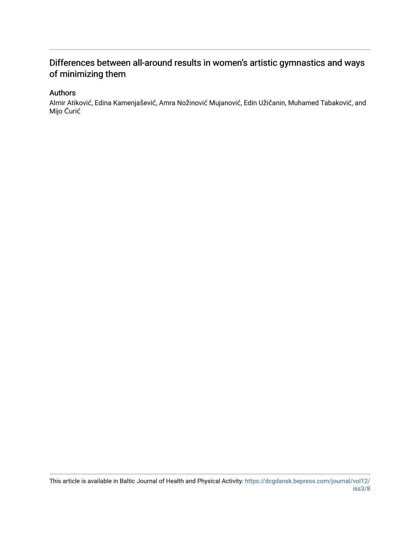# Differences between all-around results in women's artistic gymnastics and ways of minimizing them

#### Authors

Almir Atiković, Edina Kamenjašević, Amra Nožinović Mujanović, Edin Užičanin, Muhamed Tabaković, and Mijo Ćurić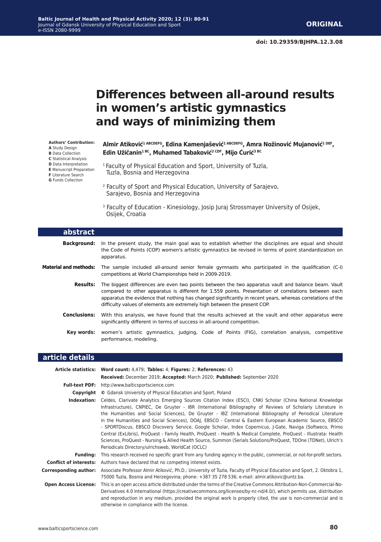# **Differences between all-around results in women's artistic gymnastics and ways of minimizing them**

**Almir Atiković1 ABCDEFG, Edina Kamenjašević1 ABCDEFG, Amra Nožinović Mujanović1 DEF, Edin Užičanin1 BC, Muhamed Tabaković2 CDF, Mijo Ćurić3 BC**

- 1 Faculty of Physical Education and Sport, University of Tuzla, Tuzla, Bosnia and Herzegovina
- 2 Faculty of Sport and Physical Education, University of Sarajevo, Sarajevo, Bosnia and Herzegovina
- <sup>3</sup> Faculty of Education Kinesiology, Josip Juraj Strossmayer University of Osijek, Osijek, Croatia

| abstract                     |                                                                                                                                                                                                                                                                                                                                                                                                        |  |  |  |  |  |  |  |
|------------------------------|--------------------------------------------------------------------------------------------------------------------------------------------------------------------------------------------------------------------------------------------------------------------------------------------------------------------------------------------------------------------------------------------------------|--|--|--|--|--|--|--|
| <b>Background:</b>           | In the present study, the main goal was to establish whether the disciplines are equal and should<br>the Code of Points (COP) women's artistic gymnastics be revised in terms of point standardization on<br>apparatus.                                                                                                                                                                                |  |  |  |  |  |  |  |
| <b>Material and methods:</b> | The sample included all-around senior female gymnasts who participated in the qualification (C-I)<br>competitions at World Championships held in 2009-2019.                                                                                                                                                                                                                                            |  |  |  |  |  |  |  |
| Results:                     | The biggest differences are even two points between the two apparatus vault and balance beam. Vault<br>compared to other apparatus is different for 1.559 points. Presentation of correlations between each<br>apparatus the evidence that nothing has changed significantly in recent years, whereas correlations of the<br>difficulty values of elements are extremely high between the present COP. |  |  |  |  |  |  |  |
| Conclusions:                 | With this analysis, we have found that the results achieved at the vault and other apparatus were<br>significantly different in terms of success in all-around competition.                                                                                                                                                                                                                            |  |  |  |  |  |  |  |
|                              | <b>Key words:</b> women's artistic gymnastics, judging, Code of Points (FIG), correlation analysis, competitive<br>performance, modeling.                                                                                                                                                                                                                                                              |  |  |  |  |  |  |  |

#### **article details**

|                               | Article statistics: Word count: 4,479; Tables: 4; Figures: 2; References: 43                                                                                                                                                                                                                                                                                                                                                                                                                                                                                                                                                                                                                                                                                                                                                                                  |  |  |  |  |  |
|-------------------------------|---------------------------------------------------------------------------------------------------------------------------------------------------------------------------------------------------------------------------------------------------------------------------------------------------------------------------------------------------------------------------------------------------------------------------------------------------------------------------------------------------------------------------------------------------------------------------------------------------------------------------------------------------------------------------------------------------------------------------------------------------------------------------------------------------------------------------------------------------------------|--|--|--|--|--|
|                               | Received: December 2019; Accepted: March 2020; Published: September 2020                                                                                                                                                                                                                                                                                                                                                                                                                                                                                                                                                                                                                                                                                                                                                                                      |  |  |  |  |  |
| <b>Full-text PDF:</b>         | http://www.balticsportscience.com                                                                                                                                                                                                                                                                                                                                                                                                                                                                                                                                                                                                                                                                                                                                                                                                                             |  |  |  |  |  |
| Copyright                     | © Gdansk University of Physical Education and Sport, Poland                                                                                                                                                                                                                                                                                                                                                                                                                                                                                                                                                                                                                                                                                                                                                                                                   |  |  |  |  |  |
| Indexation:                   | Celdes, Clarivate Analytics Emerging Sources Citation Index (ESCI), CNKI Scholar (China National Knowledge<br>Infrastructure), CNPIEC, De Gruyter - IBR (International Bibliography of Reviews of Scholarly Literature in<br>the Humanities and Social Sciences), De Gruyter - IBZ (International Bibliography of Periodical Literature<br>in the Humanities and Social Sciences), DOAJ, EBSCO - Central & Eastern European Academic Source, EBSCO<br>- SPORTDiscus, EBSCO Discovery Service, Google Scholar, Index Copernicus, J-Gate, Naviga (Softweco, Primo<br>Central (ExLibris), ProQuest - Family Health, ProQuest - Health & Medical Complete, ProQuest - Illustrata: Health<br>Sciences, ProQuest - Nursing & Allied Health Source, Summon (Serials Solutions/ProQuest, TDOne (TDNet), Ulrich's<br>Periodicals Directory/ulrichsweb, WorldCat (OCLC) |  |  |  |  |  |
| <b>Funding:</b>               | This research received no specific grant from any funding agency in the public, commercial, or not-for-profit sectors.                                                                                                                                                                                                                                                                                                                                                                                                                                                                                                                                                                                                                                                                                                                                        |  |  |  |  |  |
| <b>Conflict of interests:</b> | Authors have declared that no competing interest exists.                                                                                                                                                                                                                                                                                                                                                                                                                                                                                                                                                                                                                                                                                                                                                                                                      |  |  |  |  |  |
| Corresponding author:         | Associate Professor Almir Atiković, Ph.D.; University of Tuzla, Faculty of Physical Education and Sport, 2. Oktobra 1,<br>75000 Tuzla, Bosnia and Herzegovina; phone: +387 35 278 536; e-mail: almir.atikovic@untz.ba.                                                                                                                                                                                                                                                                                                                                                                                                                                                                                                                                                                                                                                        |  |  |  |  |  |
| <b>Open Access License:</b>   | This is an open access article distributed under the terms of the Creative Commons Attribution-Non-Commercial-No-<br>Derivatives 4.0 International (https://creativecommons.org/licenses/by-nc-nd/4.0/), which permits use, distribution<br>and reproduction in any medium, provided the original work is properly cited, the use is non-commercial and is<br>otherwise in compliance with the license.                                                                                                                                                                                                                                                                                                                                                                                                                                                       |  |  |  |  |  |

**Authors' Contribution: A** Study Design **B** Data Collection **C** Statistical Analysis **D** Data Interpretation **E** Manuscript Preparation **F** Literature Search **G** Funds Collection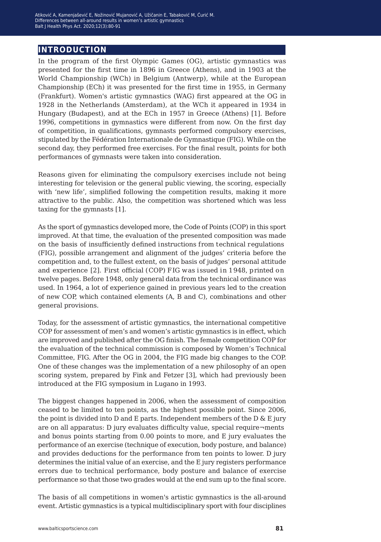## **introduction**

In the program of the first Olympic Games (OG), artistic gymnastics was presented for the first time in 1896 in Greece (Athens), and in 1903 at the World Championship (WCh) in Belgium (Antwerp), while at the European Championship (ECh) it was presented for the first time in 1955, in Germany (Frankfurt). Women's artistic gymnastics (WAG) first appeared at the OG in 1928 in the Netherlands (Amsterdam), at the WCh it appeared in 1934 in Hungary (Budapest), and at the ECh in 1957 in Greece (Athens) [1]. Before 1996, competitions in gymnastics were different from now. On the first day of competition, in qualifications, gymnasts performed compulsory exercises, stipulated by the Fédération Internationale de Gymnastique (FIG). While on the second day, they performed free exercises. For the final result, points for both performances of gymnasts were taken into consideration.

Reasons given for eliminating the compulsory exercises include not being interesting for television or the general public viewing, the scoring, especially with 'new life', simplified following the competition results, making it more attractive to the public. Also, the competition was shortened which was less taxing for the gymnasts [1].

As the sport of gymnastics developed more, the Code of Points (COP) in this sport improved. At that time, the evaluation of the presented composition was made on the basis of insufficiently defined instructions from technical regulations (FIG), possible arrangement and alignment of the judges' criteria before the competition and, to the fullest extent, on the basis of judges' personal attitude and experience [2]. First official (COP) FIG was issued in 1948, printed on twelve pages. Before 1948, only general data from the technical ordinance was used. In 1964, a lot of experience gained in previous years led to the creation of new COP, which contained elements (A, B and C), combinations and other general provisions.

Today, for the assessment of artistic gymnastics, the international competitive COP for assessment of men's and women's artistic gymnastics is in effect, which are improved and published after the OG finish. The female competition COP for the evaluation of the technical commission is composed by Women's Technical Committee, FIG. After the OG in 2004, the FIG made big changes to the COP. One of these changes was the implementation of a new philosophy of an open scoring system, prepared by Fink and Fetzer [3], which had previously been introduced at the FIG symposium in Lugano in 1993.

The biggest changes happened in 2006, when the assessment of composition ceased to be limited to ten points, as the highest possible point. Since 2006, the point is divided into D and E parts. Independent members of the D & E jury are on all apparatus: D jury evaluates difficulty value, special require¬ments and bonus points starting from 0.00 points to more, and E jury evaluates the performance of an exercise (technique of execution, body posture, and balance) and provides deductions for the performance from ten points to lower. D jury determines the initial value of an exercise, and the E jury registers performance errors due to technical performance, body posture and balance of exercise performance so that those two grades would at the end sum up to the final score.

The basis of all competitions in women's artistic gymnastics is the all-around event. Artistic gymnastics is a typical multidisciplinary sport with four disciplines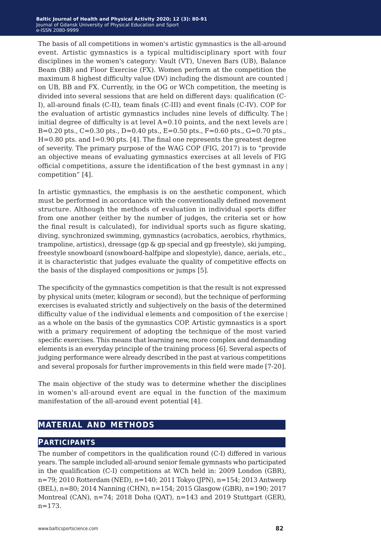The basis of all competitions in women's artistic gymnastics is the all-around event. Artistic gymnastics is a typical multidisciplinary sport with four disciplines in the women's category: Vault (VT), Uneven Bars (UB), Balance Beam (BB) and Floor Exercise (FX). Women perform at the competition the maximum 8 highest difficulty value (DV) including the dismount are counted on UB, BB and FX. Currently, in the OG or WCh competition, the meeting is divided into several sessions that are held on different days: qualification (C-I), all-around finals (C-II), team finals (C-III) and event finals (C-IV). COP for the evaluation of artistic gymnastics includes nine levels of difficulty. The initial degree of difficulty is at level  $A=0.10$  points, and the next levels are B=0.20 pts., C=0.30 pts., D=0.40 pts., E=0.50 pts., F=0.60 pts., G=0.70 pts.,  $H=0.80$  pts. and I=0.90 pts. [4]. The final one represents the greatest degree of severity. The primary purpose of the WAG COP (FIG, 2017) is to "provide an objective means of evaluating gymnastics exercises at all levels of FIG official competitions, assure the identification of the best gymnast in any competition" [4].

In artistic gymnastics, the emphasis is on the aesthetic component, which must be performed in accordance with the conventionally defined movement structure. Although the methods of evaluation in individual sports differ from one another (either by the number of judges, the criteria set or how the final result is calculated), for individual sports such as figure skating, diving, synchronized swimming, gymnastics (acrobatics, aerobics, rhythmics, trampoline, artistics), dressage (gp & gp special and gp freestyle), ski jumping, freestyle snowboard (snowboard-halfpipe and slopestyle), dance, aerials, etc., it is characteristic that judges evaluate the quality of competitive effects on the basis of the displayed compositions or jumps [5].

The specificity of the gymnastics competition is that the result is not expressed by physical units (meter, kilogram or second), but the technique of performing exercises is evaluated strictly and subjectively on the basis of the determined difficulty value of the individual elements and composition of the exercise as a whole on the basis of the gymnastics COP. Artistic gymnastics is a sport with a primary requirement of adopting the technique of the most varied specific exercises. This means that learning new, more complex and demanding elements is an everyday principle of the training process [6]. Several aspects of judging performance were already described in the past at various competitions and several proposals for further improvements in this field were made [7-20].

The main objective of the study was to determine whether the disciplines in women's all-around event are equal in the function of the maximum manifestation of the all-around event potential [4].

## **material and methods**

#### **participants**

The number of competitors in the qualification round (C-I) differed in various years. The sample included all-around senior female gymnasts who participated in the qualification (C-I) competitions at WCh held in: 2009 London (GBR), n=79; 2010 Rotterdam (NED), n=140; 2011 Tokyo (JPN), n=154; 2013 Antwerp (BEL), n=80; 2014 Nanning (CHN), n=154; 2015 Glasgow (GBR), n=190; 2017 Montreal (CAN), n=74; 2018 Doha (QAT), n=143 and 2019 Stuttgart (GER), n=173.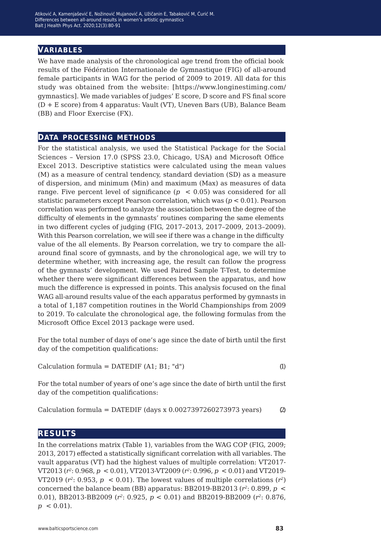#### **variables**

We have made analysis of the chronological age trend from the official book results of the Fédération Internationale de Gymnastique (FIG) of all-around female participants in WAG for the period of 2009 to 2019. All data for this study was obtained from the website: [https://www.longinestiming.com/ gymnastics]. We made variables of judges' E score, D score and FS final score (D + E score) from 4 apparatus: Vault (VT), Uneven Bars (UB), Balance Beam (BB) and Floor Exercise (FX).

#### **data processing methods**

For the statistical analysis, we used the Statistical Package for the Social Sciences – Version 17.0 (SPSS 23.0, Chicago, USA) and Microsoft Office Excel 2013. Descriptive statistics were calculated using the mean values (M) as a measure of central tendency, standard deviation (SD) as a measure of dispersion, and minimum (Min) and maximum (Max) as measures of data range. Five percent level of significance  $(p \lt 0.05)$  was considered for all statistic parameters except Pearson correlation, which was (*p* < 0.01). Pearson correlation was performed to analyze the association between the degree of the difficulty of elements in the gymnasts' routines comparing the same elements in two different cycles of judging (FIG, 2017–2013, 2017–2009, 2013–2009). With this Pearson correlation, we will see if there was a change in the difficulty value of the all elements. By Pearson correlation, we try to compare the allaround final score of gymnasts, and by the chronological age, we will try to determine whether, with increasing age, the result can follow the progress of the gymnasts' development. We used Paired Sample T-Test, to determine whether there were significant differences between the apparatus, and how much the difference is expressed in points. This analysis focused on the final WAG all-around results value of the each apparatus performed by gymnasts in a total of 1,187 competition routines in the World Championships from 2009 to 2019. To calculate the chronological age, the following formulas from the Microsoft Office Excel 2013 package were used.

For the total number of days of one's age since the date of birth until the first day of the competition qualifications:

Calculation formula =  $\text{DATE}(A1; B1; "d")$  (1)

For the total number of years of one's age since the date of birth until the first day of the competition qualifications:

Calculation formula = DATEDIF (days x  $0.0027397260273973$  years) (2)

#### **results**

In the correlations matrix (Table 1), variables from the WAG COP (FIG, 2009; 2013, 2017) effected a statistically significant correlation with all variables. The vault apparatus (VT) had the highest values of multiple correlation: VT2017- VT2013 (*r2*: 0.968, *p* < 0.01), VT2013-VT2009 (*r2*: 0.996, *p* < 0.01) and VT2019- VT2019 ( $r^2$ : 0.953,  $p < 0.01$ ). The lowest values of multiple correlations ( $r^2$ ) concerned the balance beam (BB) apparatus: BB2019-BB2013  $(r^2: 0.899, p \le$ 0.01), BB2013-BB2009 (*r2*: 0.925, *p* < 0.01) and BB2019-BB2009 (*r2*: 0.876,  $p < 0.01$ ).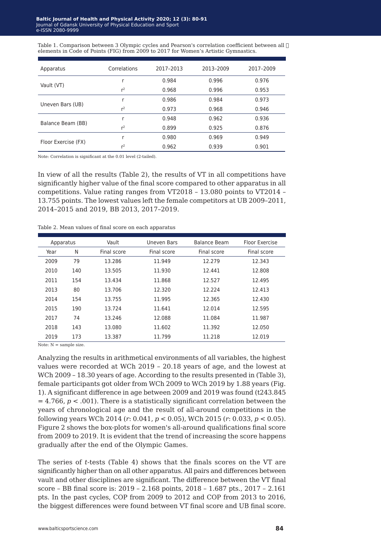Table 1. Comparison between 3 Olympic cycles and Pearson's correlation coefficient between all  $\Box$ elements in Code of Points (FIG) from 2009 to 2017 for Women's Artistic Gymnastics.

| Apparatus           | Correlations   | 2017-2013 | 2013-2009 | 2017-2009 |
|---------------------|----------------|-----------|-----------|-----------|
|                     |                | 0.984     | 0.996     | 0.976     |
| Vault (VT)          | r <sup>2</sup> | 0.968     | 0.996     | 0.953     |
|                     |                | 0.986     | 0.984     | 0.973     |
| Uneven Bars (UB)    | r <sup>2</sup> | 0.973     | 0.968     | 0.946     |
|                     |                | 0.948     | 0.962     | 0.936     |
| Balance Beam (BB)   | r <sup>2</sup> | 0.899     | 0.925     | 0.876     |
|                     |                | 0.980     | 0.969     | 0.949     |
| Floor Exercise (FX) | r <sup>2</sup> | 0.962     | 0.939     | 0.901     |

Note: Correlation is significant at the 0.01 level (2-tailed).

In view of all the results (Table 2), the results of VT in all competitions have significantly higher value of the final score compared to other apparatus in all competitions. Value rating ranges from VT2018 – 13.080 points to VT2014 – 13.755 points. The lowest values left the female competitors at UB 2009–2011, 2014–2015 and 2019, BB 2013, 2017–2019.

Table 2. Mean values of final score on each apparatus

| Apparatus |     | Vault       | <b>Uneven Bars</b> | Balance Beam | Floor Exercise |
|-----------|-----|-------------|--------------------|--------------|----------------|
| Year      | N   | Final score | Final score        | Final score  | Final score    |
| 2009      | 79  | 13.286      | 11.949             | 12.279       | 12.343         |
| 2010      | 140 | 13.505      | 11.930             | 12.441       | 12.808         |
| 2011      | 154 | 13.434      | 11.868             | 12.527       | 12.495         |
| 2013      | 80  | 13.706      | 12.320             | 12.224       | 12.413         |
| 2014      | 154 | 13.755      | 11.995             | 12.365       | 12.430         |
| 2015      | 190 | 13.724      | 11.641             | 12.014       | 12.595         |
| 2017      | 74  | 13.246      | 12.088             | 11.084       | 11.987         |
| 2018      | 143 | 13.080      | 11.602             | 11.392       | 12.050         |
| 2019      | 173 | 13.387      | 11.799             | 11.218       | 12.019         |

Note:  $N =$  sample size.

Analyzing the results in arithmetical environments of all variables, the highest values were recorded at WCh 2019 – 20.18 years of age, and the lowest at WCh 2009 – 18.30 years of age. According to the results presented in (Table 3), female participants got older from WCh 2009 to WCh 2019 by 1.88 years (Fig. 1). A significant difference in age between 2009 and 2019 was found (t243.845  $= 4.766$ ,  $p < .001$ ). There is a statistically significant correlation between the years of chronological age and the result of all-around competitions in the following years WCh 2014 (*r*: 0.041, *p* < 0.05), WCh 2015 (*r*: 0.033, *p* < 0.05). Figure 2 shows the box-plots for women's all-around qualifications final score from 2009 to 2019. It is evident that the trend of increasing the score happens gradually after the end of the Olympic Games.

The series of *t*-tests (Table 4) shows that the finals scores on the VT are significantly higher than on all other apparatus. All pairs and differences between vault and other disciplines are significant. The difference between the VT final score – BB final score is: 2019 – 2.168 points, 2018 – 1.687 pts., 2017 – 2.161 pts. In the past cycles, COP from 2009 to 2012 and COP from 2013 to 2016, the biggest differences were found between VT final score and UB final score.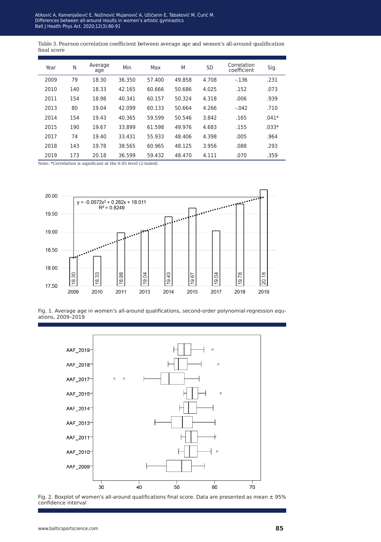Table 3. Pearson correlation coefficient between average age and women's all-around qualification final score

| Year | N   | Average<br>age | Min    | Max    | M      | <b>SD</b> | Correlation<br>coefficient | Sig.    |
|------|-----|----------------|--------|--------|--------|-----------|----------------------------|---------|
| 2009 | 79  | 18.30          | 36.350 | 57.400 | 49.858 | 4.708     | $-136$                     | .231    |
| 2010 | 140 | 18.33          | 42.165 | 60.666 | 50.686 | 4.025     | .152                       | .073    |
| 2011 | 154 | 18.98          | 40.341 | 60.157 | 50.324 | 4.318     | .006                       | .939    |
| 2013 | 80  | 19.04          | 42.099 | 60.133 | 50.664 | 4.266     | $-.042$                    | .710    |
| 2014 | 154 | 19.43          | 40.365 | 59.599 | 50.546 | 3.842     | .165                       | $.041*$ |
| 2015 | 190 | 19.67          | 33.899 | 61.598 | 49.976 | 4.683     | .155                       | $.033*$ |
| 2017 | 74  | 19.40          | 33.431 | 55.933 | 48.406 | 4.398     | .005                       | .964    |
| 2018 | 143 | 19.78          | 38.565 | 60.965 | 48.125 | 3.956     | .088                       | .293    |
| 2019 | 173 | 20.18          | 36.599 | 59.432 | 48.470 | 4.111     | .070                       | .359    |

Note: \*Correlation is significant at the 0.05 level (2-tailed).



Fig. 1. Average age in women's all-around qualifications, second-order polynomial-regression equations, 2009–2019



Fig. 2. Boxplot of women's all-around qualifications final score. Data are presented as mean  $\pm$  95% confidence interval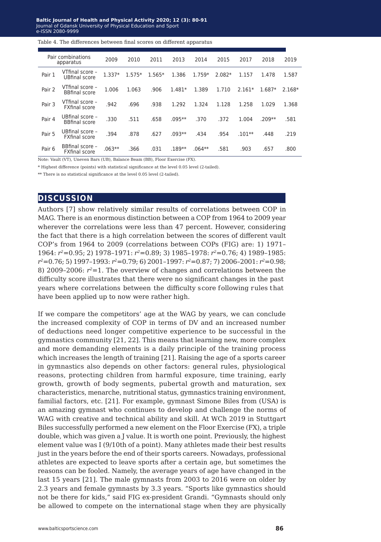#### Baltic Journal of Health and Physical Activity 2020; 12 (3): 80-91

Blood K+ concentration balance after prolonged submaximal exercise... Journal of Gdansk University of Physical Education and Sport , 234-2080-9999<br>e-ISSN 2080-9999

Table 4. The differences between final scores on different apparatus

|        | Pair combinations<br>apparatus          | 2009     | 2010     | 2011     | 2013     | 2014     | 2015     | 2017     | 2018     | 2019     |
|--------|-----------------------------------------|----------|----------|----------|----------|----------|----------|----------|----------|----------|
| Pair 1 | VTfinal score -<br><b>UBfinal score</b> | $1.337*$ | $1.575*$ | $1.565*$ | 1.386    | 1.759*   | $2.082*$ | 1.157    | 1.478    | 1.587    |
| Pair 2 | VTfinal score -<br><b>BBfinal score</b> | 1.006    | 1.063    | .906     | 1.481*   | 1.389    | 1.710    | $2.161*$ | 1.687*   | $2.168*$ |
| Pair 3 | VTfinal score -<br><b>FXfinal score</b> | .942     | .696     | .938     | 1.292    | 1.324    | 1.128    | 1.258    | 1.029    | 1.368    |
| Pair 4 | UBfinal score -<br><b>BBfinal score</b> | .330     | .511     | .658     | $.095**$ | .370     | .372     | 1.004    | $.209**$ | .581     |
| Pair 5 | UBfinal score -<br><b>FXfinal score</b> | .394     | .878     | .627     | $.093**$ | .434     | .954     | $.101**$ | .448     | .219     |
| Pair 6 | BBfinal score -<br><b>FXfinal score</b> | $.063**$ | .366     | .031     | .189**   | $.064**$ | .581     | .903     | .657     | .800     |

Note: Vault (VT), Uneven Bars (UB), Balance Beam (BB), Floor Exercise (FX).

\* Highest difference (points) with statistical significance at the level 0.05 level (2-tailed).

\*\* There is no statistical significance at the level 0.05 level (2-tailed).

#### **discussion**

Authors [7] show relatively similar results of correlations between COP in MAG. There is an enormous distinction between a COP from 1964 to 2009 year wherever the correlations were less than 47 percent. However, considering the fact that there is a high correlation between the scores of different vault COP's from 1964 to 2009 (correlations between COPs (FIG) are: 1) 1971– 1964: *r2*=0.95; 2) 1978–1971: *r2*=0.89; 3) 1985–1978: *r2*=0.76; 4) 1989–1985: *r2*=0.76; 5) 1997–1993: *r2*=0.79; 6) 2001–1997: *r2*=0.87; 7) 2006–2001: *r2*=0.98; 8) 2009–2006:  $r^2=1$ . The overview of changes and correlations between the difficulty score illustrates that there were no significant changes in the past years where correlations between the difficulty score following rules that have been applied up to now were rather high.

If we compare the competitors' age at the WAG by years, we can conclude the increased complexity of COP in terms of DV and an increased number of deductions need longer competitive experience to be successful in the gymnastics community [21, 22]. This means that learning new, more complex and more demanding elements is a daily principle of the training process which increases the length of training [21]. Raising the age of a sports career in gymnastics also depends on other factors: general rules, physiological reasons, protecting children from harmful exposure, time training, early growth, growth of body segments, pubertal growth and maturation, sex characteristics, menarche, nutritional status, gymnastics training environment, familial factors, etc. [21]. For example, gymnast Simone Biles from (USA) is an amazing gymnast who continues to develop and challenge the norms of WAG with creative and technical ability and skill. At WCh 2019 in Stuttgart Biles successfully performed a new element on the Floor Exercise (FX), a triple double, which was given a J value. It is worth one point. Previously, the highest element value was I (9/10th of a point). Many athletes made their best results just in the years before the end of their sports careers. Nowadays, professional athletes are expected to leave sports after a certain age, but sometimes the reasons can be fooled. Namely, the average years of age have changed in the last 15 years [21]. The male gymnasts from 2003 to 2016 were on older by 2.3 years and female gymnasts by 3.3 years. "Sports like gymnastics should not be there for kids," said FIG ex-president Grandi. "Gymnasts should only be allowed to compete on the international stage when they are physically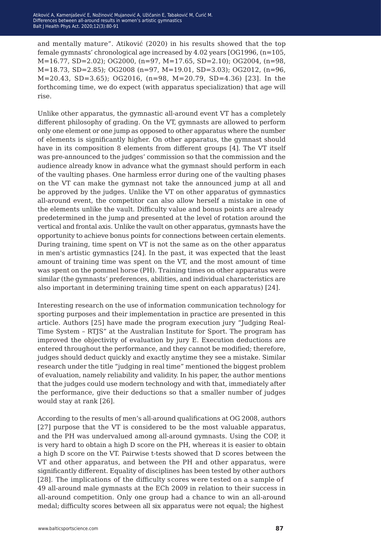and mentally mature". Atiković (2020) in his results showed that the top female gymnasts' chronological age increased by 4.02 years [OG1996, (n=105, M=16.77, SD=2.02); OG2000, (n=97, M=17.65, SD=2.10); OG2004, (n=98, M=18.73, SD=2.85); OG2008 (n=97, M=19.01, SD=3.03); OG2012, (n=96, M=20.43, SD=3.65); OG2016, (n=98, M=20.79, SD=4.36) [23]. In the forthcoming time, we do expect (with apparatus specialization) that age will rise.

Unlike other apparatus, the gymnastic all-around event VT has a completely different philosophy of grading. On the VT, gymnasts are allowed to perform only one element or one jump as opposed to other apparatus where the number of elements is significantly higher. On other apparatus, the gymnast should have in its composition 8 elements from different groups [4]. The VT itself was pre-announced to the judges' commission so that the commission and the audience already know in advance what the gymnast should perform in each of the vaulting phases. One harmless error during one of the vaulting phases on the VT can make the gymnast not take the announced jump at all and be approved by the judges. Unlike the VT on other apparatus of gymnastics all-around event, the competitor can also allow herself a mistake in one of the elements unlike the vault. Difficulty value and bonus points are already predetermined in the jump and presented at the level of rotation around the vertical and frontal axis. Unlike the vault on other apparatus, gymnasts have the opportunity to achieve bonus points for connections between certain elements. During training, time spent on VT is not the same as on the other apparatus in men's artistic gymnastics [24]. In the past, it was expected that the least amount of training time was spent on the VT, and the most amount of time was spent on the pommel horse (PH). Training times on other apparatus were similar (the gymnasts' preferences, abilities, and individual characteristics are also important in determining training time spent on each apparatus) [24].

Interesting research on the use of information communication technology for sporting purposes and their implementation in practice are presented in this article. Authors [25] have made the program execution jury "Judging Real-Time System – RTJS" at the Australian Institute for Sport. The program has improved the objectivity of evaluation by jury E. Execution deductions are entered throughout the performance, and they cannot be modified; therefore, judges should deduct quickly and exactly anytime they see a mistake. Similar research under the title "judging in real time" mentioned the biggest problem of evaluation, namely reliability and validity. In his paper, the author mentions that the judges could use modern technology and with that, immediately after the performance, give their deductions so that a smaller number of judges would stay at rank [26].

According to the results of men's all-around qualifications at OG 2008, authors [27] purpose that the VT is considered to be the most valuable apparatus, and the PH was undervalued among all-around gymnasts. Using the COP, it is very hard to obtain a high D score on the PH, whereas it is easier to obtain a high D score on the VT. Pairwise t-tests showed that D scores between the VT and other apparatus, and between the PH and other apparatus, were significantly different. Equality of disciplines has been tested by other authors [28]. The implications of the difficulty scores were tested on a sample of 49 all-around male gymnasts at the ECh 2009 in relation to their success in all-around competition. Only one group had a chance to win an all-around medal; difficulty scores between all six apparatus were not equal; the highest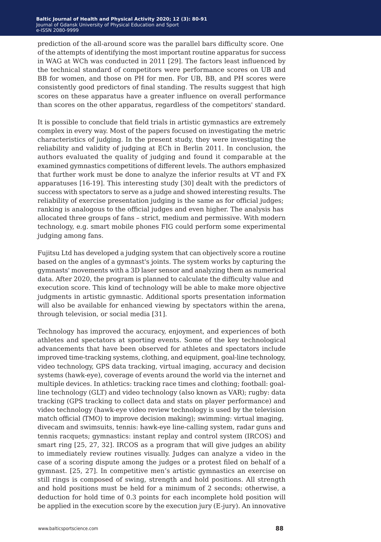prediction of the all-around score was the parallel bars difficulty score. One of the attempts of identifying the most important routine apparatus for success in WAG at WCh was conducted in 2011 [29]. The factors least influenced by the technical standard of competitors were performance scores on UB and BB for women, and those on PH for men. For UB, BB, and PH scores were consistently good predictors of final standing. The results suggest that high scores on these apparatus have a greater influence on overall performance than scores on the other apparatus, regardless of the competitors' standard.

It is possible to conclude that field trials in artistic gymnastics are extremely complex in every way. Most of the papers focused on investigating the metric characteristics of judging. In the present study, they were investigating the reliability and validity of judging at ECh in Berlin 2011. In conclusion, the authors evaluated the quality of judging and found it comparable at the examined gymnastics competitions of different levels. The authors emphasized that further work must be done to analyze the inferior results at VT and FX apparatuses [16-19]. This interesting study [30] dealt with the predictors of success with spectators to serve as a judge and showed interesting results. The reliability of exercise presentation judging is the same as for official judges; ranking is analogous to the official judges and even higher. The analysis has allocated three groups of fans – strict, medium and permissive. With modern technology, e.g. smart mobile phones FIG could perform some experimental judging among fans.

Fujitsu Ltd has developed a judging system that can objectively score a routine based on the angles of a gymnast's joints. The system works by capturing the gymnasts' movements with a 3D laser sensor and analyzing them as numerical data. After 2020, the program is planned to calculate the difficulty value and execution score. This kind of technology will be able to make more objective judgments in artistic gymnastic. Additional sports presentation information will also be available for enhanced viewing by spectators within the arena, through television, or social media [31].

Technology has improved the accuracy, enjoyment, and experiences of both athletes and spectators at sporting events. Some of the key technological advancements that have been observed for athletes and spectators include improved time-tracking systems, clothing, and equipment, goal-line technology, video technology, GPS data tracking, virtual imaging, accuracy and decision systems (hawk-eye), coverage of events around the world via the internet and multiple devices. In athletics: tracking race times and clothing; football: goalline technology (GLT) and video technology (also known as VAR); rugby: data tracking (GPS tracking to collect data and stats on player performance) and video technology (hawk-eye video review technology is used by the television match official (TMO) to improve decision making); swimming: virtual imaging, divecam and swimsuits, tennis: hawk-eye line-calling system, radar guns and tennis racquets; gymnastics: instant replay and control system (IRCOS) and smart ring [25, 27, 32]. IRCOS as a program that will give judges an ability to immediately review routines visually. Judges can analyze a video in the case of a scoring dispute among the judges or a protest filed on behalf of a gymnast. [25, 27]. In competitive men's artistic gymnastics an exercise on still rings is composed of swing, strength and hold positions. All strength and hold positions must be held for a minimum of 2 seconds; otherwise, a deduction for hold time of 0.3 points for each incomplete hold position will be applied in the execution score by the execution jury (E-jury). An innovative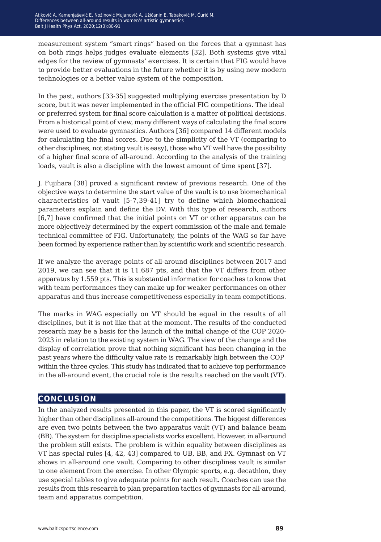measurement system "smart rings" based on the forces that a gymnast has on both rings helps judges evaluate elements [32]. Both systems give vital edges for the review of gymnasts' exercises. It is certain that FIG would have to provide better evaluations in the future whether it is by using new modern technologies or a better value system of the composition.

In the past, authors [33-35] suggested multiplying exercise presentation by D score, but it was never implemented in the official FIG competitions. The ideal or preferred system for final score calculation is a matter of political decisions. From a historical point of view, many different ways of calculating the final score were used to evaluate gymnastics. Authors [36] compared 14 different models for calculating the final scores. Due to the simplicity of the VT (comparing to other disciplines, not stating vault is easy), those who VT well have the possibility of a higher final score of all-around. According to the analysis of the training loads, vault is also a discipline with the lowest amount of time spent [37].

J. Fujihara [38] proved a significant review of previous research. One of the objective ways to determine the start value of the vault is to use biomechanical characteristics of vault [5-7,39-41] try to define which biomechanical parameters explain and define the DV. With this type of research, authors [6,7] have confirmed that the initial points on VT or other apparatus can be more objectively determined by the expert commission of the male and female technical committee of FIG. Unfortunately, the points of the WAG so far have been formed by experience rather than by scientific work and scientific research.

If we analyze the average points of all-around disciplines between 2017 and 2019, we can see that it is 11.687 pts, and that the VT differs from other apparatus by 1.559 pts. This is substantial information for coaches to know that with team performances they can make up for weaker performances on other apparatus and thus increase competitiveness especially in team competitions.

The marks in WAG especially on VT should be equal in the results of all disciplines, but it is not like that at the moment. The results of the conducted research may be a basis for the launch of the initial change of the COP 2020- 2023 in relation to the existing system in WAG. The view of the change and the display of correlation prove that nothing significant has been changing in the past years where the difficulty value rate is remarkably high between the COP within the three cycles. This study has indicated that to achieve top performance in the all-around event, the crucial role is the results reached on the vault (VT).

#### **conclusion**

In the analyzed results presented in this paper, the VT is scored significantly higher than other disciplines all-around the competitions. The biggest differences are even two points between the two apparatus vault (VT) and balance beam (BB). The system for discipline specialists works excellent. However, in all-around the problem still exists. The problem is within equality between disciplines as VT has special rules [4, 42, 43] compared to UB, BB, and FX. Gymnast on VT shows in all-around one vault. Comparing to other disciplines vault is similar to one element from the exercise. In other Olympic sports, e.g. decathlon, they use special tables to give adequate points for each result. Coaches can use the results from this research to plan preparation tactics of gymnasts for all-around, team and apparatus competition.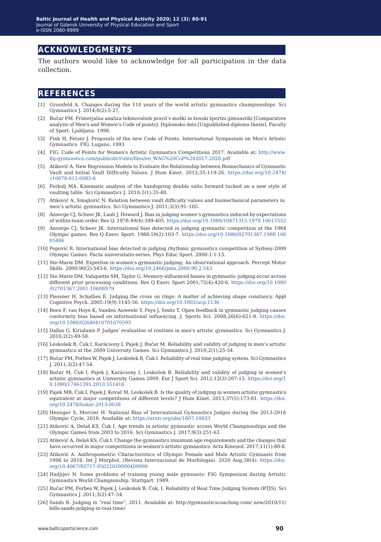### **acknowledgments**

The authors would like to acknowledge for all participation in the data collection.

#### **references**

- [1] Grossfeld A. Changes during the 110 years of the world artistic gymnastics championships. Sci Gymnastics J. 2014;6(2):5-27.
- [2] Bučar PM. Primerjalna analiza tekmovalnih pravil v moški in ženski športni gimnastiki [Comparative analysis of Men's and Women's Code of points]. Diplomsko delo [Unpublished diploma thesis]. Faculty of Sport. Ljubljana. 1998.
- [3] Fink H, Fetzer J. Proposals of the new Code of Points. International Symposium on Men's Artistic Gymnastics. FIG. Lugano. 1993.
- [4] FIG. Code of Points for Women's Artistic Gymnastics Competitions 2017. Available at: http://www. fig-gymnastics.com/publicdir/rules/files/en\_WAG%20CoP%202017-2020.pdf
- [5] Atiković A. New Regression Models to Evaluate the Relationship between Biomechanics of Gymnastic Vault and Initial Vault Difficulty Values. J Hum Kinet. 2012;35:119-26. https://doi.org/10.2478/ v10078-012-0085-6
- [6] Ferkolj MA. Kinematic analysis of the handspring double salto forward tucked on a new style of vaulting table. Sci Gymnastics J. 2010;2(1):35-48.
- [7] Atiković A, Smajlović N. Relation between vault difficulty values and biomechanical parameters in men's artistic gymnastics. Sci Gymnastics J. 2011;3(3):91–105.
- [8] Ansorge CJ, Scheer JK, Laub J, Howard J. Bias in judging women's gymnastics induced by expectations of within-team order. Res Q. 1978:49(4):399-405. https://doi.org/10.1080/10671315.1978.10615552
- [9] Ansorge CJ, Scheer JK. International bias detected in judging gymnastic competition at the 1984 Olympic games. Res Q Exerc Sport. 1988:59(2):103-7. https://doi.org/10.1080/02701367.1988.106 05486
- [10] Popović R. International bias detected in judging rhythmic gymnastics competition at Sydney-2000 Olympic Games. Facta universitatis-series: Phys Educ Sport. 2000:1:1-13.
- [11] Ste-Marie DM. Expertise in women's gymnastic judging: An observational approach. Percept Motor Skills. 2000:90(2):543-6. https://doi.org/10.2466/pms.2000.90.2.543
- [12] Ste-Marie DM, Valiquette SM, Taylor G. Memory-influenced biases in gymnastic judging occur across different prior processing conditions. Res Q Exerc Sport 2001;72(4):420-6. https://doi.org/10.1080 /02701367.2001.10608979
- [13] Plessner H, Schallies E. Judging the cross on rings: A matter of achieving shape constancy. Appl Cognitive Psych. 2005:19(9):1145-56. https://doi.org/10.1002/acp.1136
- [14] Boen F, van Hoye K, Vanden Auweele Y, Feys J, Smits T. Open feedback in gymnastic judging causes conformity bias based on informational influencing. J. Sports Sci. 2008;26(6):621-8. https://doi. org/10.1080/02640410701670393
- [15] Dallas G, Kirialanis P. Judges' evaluation of routines in men's artistic gymnastics. Sci Gymnastics J. 2010;2(2):49-58.
- [16] Leskošek B, Čuk I, Karácsony I, Pajek J, Bučar M. Reliability and validity of judging in men's artistic gymnastics at the 2009 University Games. Sci Gymnastics J. 2010;2(1):25-34.
- [17] Bučar PM, Forbes W, Pajek J, Leskošek B, Čuk I. Reliability of real time judging system. Sci Gymnastics J. 2011;3(2):47-54.
- [18] Bučar M, Čuk I, Pajek J, Karácsony I, Leskošek B. Reliability and validity of judging in women's artistic gymnastics at University Games 2009. Eur J Sport Sci. 2012;12(3):207-15. https://doi.org/1 0.1080/17461391.2010.551416
- [19] Pajek MB, Čuk I, Pajek J, Kovač M, Leskošek B. Is the quality of judging in women artistic gymnastics equivalent at major competitions of different levels? J Hum Kinet. 2013;37(5):173-81. https://doi. org/10.2478/hukin-2013-0038
- [20] Heiniger S, Mercier H. National Bias of International Gymnastics Judges during the 2013-2016 Olympic Cycle, 2018. Available at: https://arxiv.org/abs/1807.10033
- [21] Atiković A, Delaš KS, Čuk I. Age trends in artistic gymnastic across World Championships and the Olympic Games from 2003 to 2016. Sci Gymnastics J. 2017;9(3):251-63.
- [22] Atiković A, Delaš KS, Čuk I. Change the gymnastics minimum age requirements and the changes that have occurred in major competitions in women's artistic gymnastics. Acta Kinesiol. 2017;11(1):80-8.
- [23] Atiković A. Anthropometric Characteristics of Olympic Female and Male Artistic Gymnasts from 1996 to 2016. Int J Morphol. (Revista Internacional de Morfología). 2020 Aug;38(4). https://doi. org/10.4067/S0717-95022020000400990
- [24] Hadjijev N. Some problems of training young male gymnasts: FIG Symposium during Artistic Gymnastics World Championship. Stuttgart. 1989.
- [25] Bučar PM, Forbes W, Pajek J, Leskošek B, Čuk, I. Reliability of Real Time Judging System (RTJS). Sci Gymnastics J. 2011;3(2):47–54.
- [26] Sands B. Judging in "real time", 2011. Available at: http://gymnasticscoaching.com/ new/2010/11/ bills-sands-judging-in-real-time/